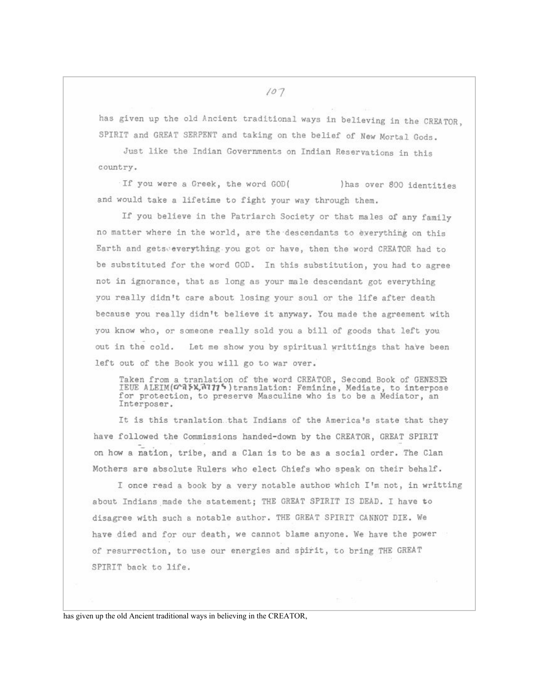has given up the old Ancient traditional ways in believing in the CREATOR. SPIRIT and GREAT SERPENT and taking on the belief of New Mortal Gods.

Just like the Indian Governments on Indian Reservations in this country.

If you were a Greek, the word GOD( ) has over 800 identities and would take a lifetime to fight your way through them.

If you believe in the Patriarch Society or that males of any family no matter where in the world, are the descendants to exerything on this Earth and getsveverything you got or have, then the word CREATOR had to be substituted for the word GOD. In this substitution, you had to agree not in ignorance, that as long as your male descendant got everything you really didn't care about losing your soul or the life after death because you really didn't believe it anyway. You made the agreement with you know who, or someone really sold you a bill of goods that left you out in the cold. Let me show you by spiritual writtings that have been left out of the Book you will go to war over.

Taken from a tranlation of the word CREATOR, Second Book of GENESIS IEUE ALEIM(CAPA, 17775) translation: Feminine, Mediate, to interpose<br>for protection, to preserve Masculine who is to be a Mediator, an Interposer.

It is this tranlation that Indians of the America's state that they have followed the Commissions handed-down by the CREATOR, GREAT SPIRIT on how a nation, tribe, and a Clan is to be as a social order. The Clan Mothers are absolute Rulers who elect Chiefs who speak on their behalf.

I once read a book by a very notable author which I'm not, in writting about Indians made the statement; THE GREAT SPIRIT IS DEAD. I have to disagree with such a notable author. THE GREAT SPIRIT CANNOT DIE. We have died and for our death, we cannot blame anyone. We have the power of resurrection, to use our energies and spirit, to bring THE GREAT SPIRIT back to life.

has given up the old Ancient traditional ways in believing in the CREATOR,